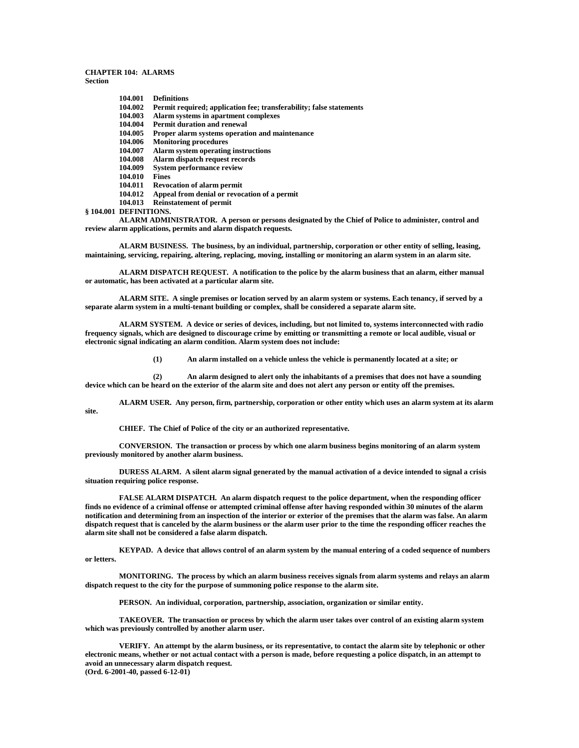## **CHAPTER 104: ALARMS Section**

**104.001 Definitions**

- **104.002 Permit required; application fee; transferability; false statements**
- **104.003 Alarm systems in apartment complexes**
- **104.004 Permit duration and renewal**
- Proper alarm systems operation and maintenance
- **104.006 Monitoring procedures**
- **104.007 Alarm system operating instructions**
- **104.008 Alarm dispatch request records**
- **System performance review**
- **104.010 Fines**
- **Revocation of alarm permit**
- **104.012 Appeal from denial or revocation of a permit**
- **104.013 Reinstatement of permit**
- **§ 104.001 DEFINITIONS.**

**ALARM ADMINISTRATOR. A person or persons designated by the Chief of Police to administer, control and review alarm applications, permits and alarm dispatch requests.**

**ALARM BUSINESS. The business, by an individual, partnership, corporation or other entity of selling, leasing, maintaining, servicing, repairing, altering, replacing, moving, installing or monitoring an alarm system in an alarm site.**

**ALARM DISPATCH REQUEST. A notification to the police by the alarm business that an alarm, either manual or automatic, has been activated at a particular alarm site.**

**ALARM SITE. A single premises or location served by an alarm system or systems. Each tenancy, if served by a separate alarm system in a multi-tenant building or complex, shall be considered a separate alarm site.**

**ALARM SYSTEM. A device or series of devices, including, but not limited to, systems interconnected with radio frequency signals, which are designed to discourage crime by emitting or transmitting a remote or local audible, visual or electronic signal indicating an alarm condition. Alarm system does not include:**

**(1) An alarm installed on a vehicle unless the vehicle is permanently located at a site; or**

**(2) An alarm designed to alert only the inhabitants of a premises that does not have a sounding device which can be heard on the exterior of the alarm site and does not alert any person or entity off the premises.**

**ALARM USER. Any person, firm, partnership, corporation or other entity which uses an alarm system at its alarm site.**

**CHIEF. The Chief of Police of the city or an authorized representative.**

**CONVERSION. The transaction or process by which one alarm business begins monitoring of an alarm system previously monitored by another alarm business.**

**DURESS ALARM. A silent alarm signal generated by the manual activation of a device intended to signal a crisis situation requiring police response.**

**FALSE ALARM DISPATCH. An alarm dispatch request to the police department, when the responding officer finds no evidence of a criminal offense or attempted criminal offense after having responded within 30 minutes of the alarm notification and determining from an inspection of the interior or exterior of the premises that the alarm was false. An alarm dispatch request that is canceled by the alarm business or the alarm user prior to the time the responding officer reaches the alarm site shall not be considered a false alarm dispatch.**

**KEYPAD. A device that allows control of an alarm system by the manual entering of a coded sequence of numbers or letters.**

**MONITORING. The process by which an alarm business receives signals from alarm systems and relays an alarm dispatch request to the city for the purpose of summoning police response to the alarm site.**

**PERSON. An individual, corporation, partnership, association, organization or similar entity.**

**TAKEOVER. The transaction or process by which the alarm user takes over control of an existing alarm system which was previously controlled by another alarm user.**

**VERIFY. An attempt by the alarm business, or its representative, to contact the alarm site by telephonic or other electronic means, whether or not actual contact with a person is made, before requesting a police dispatch, in an attempt to avoid an unnecessary alarm dispatch request. (Ord. 6-2001-40, passed 6-12-01)**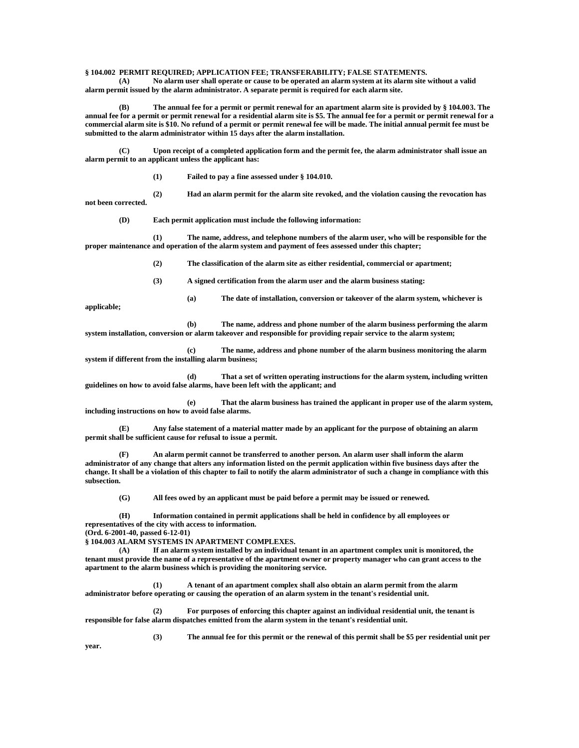## **§ 104.002 PERMIT REQUIRED; APPLICATION FEE; TRANSFERABILITY; FALSE STATEMENTS.**

**(A) No alarm user shall operate or cause to be operated an alarm system at its alarm site without a valid alarm permit issued by the alarm administrator. A separate permit is required for each alarm site.**

**(B) The annual fee for a permit or permit renewal for an apartment alarm site is provided by § 104.003. The annual fee for a permit or permit renewal for a residential alarm site is \$5. The annual fee for a permit or permit renewal for a commercial alarm site is \$10. No refund of a permit or permit renewal fee will be made. The initial annual permit fee must be submitted to the alarm administrator within 15 days after the alarm installation.**

**(C) Upon receipt of a completed application form and the permit fee, the alarm administrator shall issue an alarm permit to an applicant unless the applicant has:**

**(1) Failed to pay a fine assessed under § 104.010.**

**(2) Had an alarm permit for the alarm site revoked, and the violation causing the revocation has not been corrected.**

**(D) Each permit application must include the following information:**

**(1) The name, address, and telephone numbers of the alarm user, who will be responsible for the proper maintenance and operation of the alarm system and payment of fees assessed under this chapter;**

**(2) The classification of the alarm site as either residential, commercial or apartment;**

**(3) A signed certification from the alarm user and the alarm business stating:**

**(a) The date of installation, conversion or takeover of the alarm system, whichever is** 

**(b) The name, address and phone number of the alarm business performing the alarm system installation, conversion or alarm takeover and responsible for providing repair service to the alarm system;**

**(c) The name, address and phone number of the alarm business monitoring the alarm system if different from the installing alarm business;**

**(d) That a set of written operating instructions for the alarm system, including written guidelines on how to avoid false alarms, have been left with the applicant; and**

**(e) That the alarm business has trained the applicant in proper use of the alarm system, including instructions on how to avoid false alarms.**

**(E) Any false statement of a material matter made by an applicant for the purpose of obtaining an alarm permit shall be sufficient cause for refusal to issue a permit.**

**(F) An alarm permit cannot be transferred to another person. An alarm user shall inform the alarm administrator of any change that alters any information listed on the permit application within five business days after the change. It shall be a violation of this chapter to fail to notify the alarm administrator of such a change in compliance with this subsection.**

**(G) All fees owed by an applicant must be paid before a permit may be issued or renewed.**

**(H) Information contained in permit applications shall be held in confidence by all employees or representatives of the city with access to information.**

**(Ord. 6-2001-40, passed 6-12-01)**

**§ 104.003 ALARM SYSTEMS IN APARTMENT COMPLEXES.**

**(A) If an alarm system installed by an individual tenant in an apartment complex unit is monitored, the tenant must provide the name of a representative of the apartment owner or property manager who can grant access to the apartment to the alarm business which is providing the monitoring service.**

**(1) A tenant of an apartment complex shall also obtain an alarm permit from the alarm administrator before operating or causing the operation of an alarm system in the tenant's residential unit.**

**(2) For purposes of enforcing this chapter against an individual residential unit, the tenant is responsible for false alarm dispatches emitted from the alarm system in the tenant's residential unit.**

**(3) The annual fee for this permit or the renewal of this permit shall be \$5 per residential unit per** 

**year.**

**applicable;**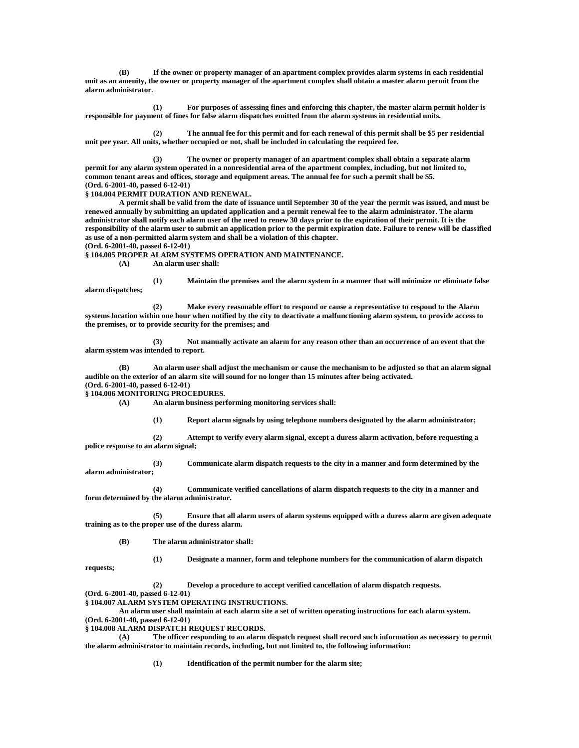**(B) If the owner or property manager of an apartment complex provides alarm systems in each residential unit as an amenity, the owner or property manager of the apartment complex shall obtain a master alarm permit from the alarm administrator.**

**(1) For purposes of assessing fines and enforcing this chapter, the master alarm permit holder is responsible for payment of fines for false alarm dispatches emitted from the alarm systems in residential units.**

**(2) The annual fee for this permit and for each renewal of this permit shall be \$5 per residential unit per year. All units, whether occupied or not, shall be included in calculating the required fee.**

**(3) The owner or property manager of an apartment complex shall obtain a separate alarm permit for any alarm system operated in a nonresidential area of the apartment complex, including, but not limited to, common tenant areas and offices, storage and equipment areas. The annual fee for such a permit shall be \$5. (Ord. 6-2001-40, passed 6-12-01)**

**§ 104.004 PERMIT DURATION AND RENEWAL.**

**A permit shall be valid from the date of issuance until September 30 of the year the permit was issued, and must be renewed annually by submitting an updated application and a permit renewal fee to the alarm administrator. The alarm administrator shall notify each alarm user of the need to renew 30 days prior to the expiration of their permit. It is the responsibility of the alarm user to submit an application prior to the permit expiration date. Failure to renew will be classified as use of a non-permitted alarm system and shall be a violation of this chapter. (Ord. 6-2001-40, passed 6-12-01)**

**§ 104.005 PROPER ALARM SYSTEMS OPERATION AND MAINTENANCE.**

**(A) An alarm user shall:**

**(1) Maintain the premises and the alarm system in a manner that will minimize or eliminate false alarm dispatches;**

**(2) Make every reasonable effort to respond or cause a representative to respond to the Alarm systems location within one hour when notified by the city to deactivate a malfunctioning alarm system, to provide access to the premises, or to provide security for the premises; and**

**(3) Not manually activate an alarm for any reason other than an occurrence of an event that the alarm system was intended to report.**

**(B) An alarm user shall adjust the mechanism or cause the mechanism to be adjusted so that an alarm signal audible on the exterior of an alarm site will sound for no longer than 15 minutes after being activated. (Ord. 6-2001-40, passed 6-12-01)**

**§ 104.006 MONITORING PROCEDURES.**

**(A) An alarm business performing monitoring services shall:**

**(1) Report alarm signals by using telephone numbers designated by the alarm administrator;**

**(2) Attempt to verify every alarm signal, except a duress alarm activation, before requesting a police response to an alarm signal;**

**(3) Communicate alarm dispatch requests to the city in a manner and form determined by the alarm administrator;**

**(4) Communicate verified cancellations of alarm dispatch requests to the city in a manner and form determined by the alarm administrator.**

**(5) Ensure that all alarm users of alarm systems equipped with a duress alarm are given adequate training as to the proper use of the duress alarm.**

**(B) The alarm administrator shall:**

**(1) Designate a manner, form and telephone numbers for the communication of alarm dispatch** 

**requests;**

**(2) Develop a procedure to accept verified cancellation of alarm dispatch requests.**

**(Ord. 6-2001-40, passed 6-12-01)**

**§ 104.007 ALARM SYSTEM OPERATING INSTRUCTIONS.**

**An alarm user shall maintain at each alarm site a set of written operating instructions for each alarm system. (Ord. 6-2001-40, passed 6-12-01)**

**§ 104.008 ALARM DISPATCH REQUEST RECORDS.**

**(A) The officer responding to an alarm dispatch request shall record such information as necessary to permit the alarm administrator to maintain records, including, but not limited to, the following information:**

**(1) Identification of the permit number for the alarm site;**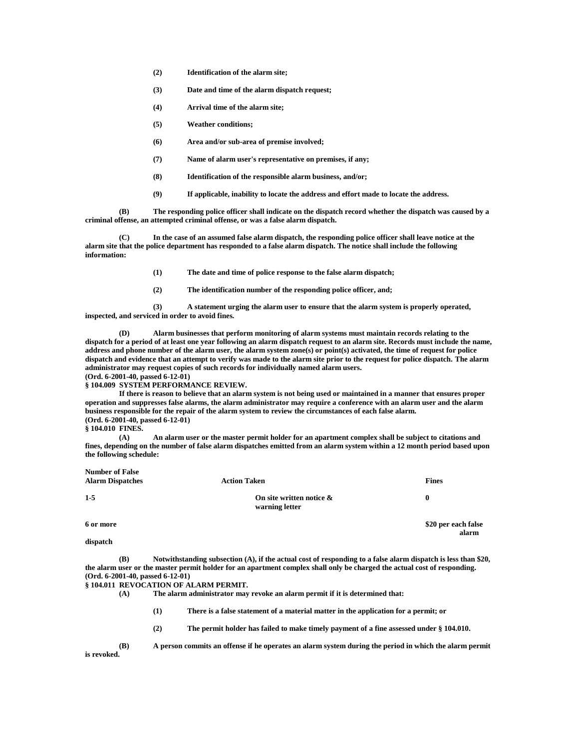- **(2) Identification of the alarm site;**
- **(3) Date and time of the alarm dispatch request;**
- **(4) Arrival time of the alarm site;**
- **(5) Weather conditions;**
- **(6) Area and/or sub-area of premise involved;**
- **(7) Name of alarm user's representative on premises, if any;**
- **(8) Identification of the responsible alarm business, and/or;**
- **(9) If applicable, inability to locate the address and effort made to locate the address.**

**(B) The responding police officer shall indicate on the dispatch record whether the dispatch was caused by a criminal offense, an attempted criminal offense, or was a false alarm dispatch.**

**(C) In the case of an assumed false alarm dispatch, the responding police officer shall leave notice at the alarm site that the police department has responded to a false alarm dispatch. The notice shall include the following information:**

**(1) The date and time of police response to the false alarm dispatch;**

**(2) The identification number of the responding police officer, and;**

**(3) A statement urging the alarm user to ensure that the alarm system is properly operated, inspected, and serviced in order to avoid fines.**

**(D) Alarm businesses that perform monitoring of alarm systems must maintain records relating to the dispatch for a period of at least one year following an alarm dispatch request to an alarm site. Records must include the name, address and phone number of the alarm user, the alarm system zone(s) or point(s) activated, the time of request for police dispatch and evidence that an attempt to verify was made to the alarm site prior to the request for police dispatch. The alarm administrator may request copies of such records for individually named alarm users. (Ord. 6-2001-40, passed 6-12-01)**

**§ 104.009 SYSTEM PERFORMANCE REVIEW.**

**If there is reason to believe that an alarm system is not being used or maintained in a manner that ensures proper operation and suppresses false alarms, the alarm administrator may require a conference with an alarm user and the alarm business responsible for the repair of the alarm system to review the circumstances of each false alarm. (Ord. 6-2001-40, passed 6-12-01)**

## **§ 104.010 FINES.**

**Number of False**

**(A) An alarm user or the master permit holder for an apartment complex shall be subject to citations and fines, depending on the number of false alarm dispatches emitted from an alarm system within a 12 month period based upon the following schedule:**

| TAMINDOL OL L'AISO<br><b>Alarm Dispatches</b> | <b>Action Taken</b>                           | <b>Fines</b>                 |
|-----------------------------------------------|-----------------------------------------------|------------------------------|
| $1-5$                                         | On site written notice $\&$<br>warning letter | $\bf{0}$                     |
| 6 or more                                     |                                               | \$20 per each false<br>alarm |
| dispatch                                      |                                               |                              |

**(B) Notwithstanding subsection (A), if the actual cost of responding to a false alarm dispatch is less than \$20, the alarm user or the master permit holder for an apartment complex shall only be charged the actual cost of responding. (Ord. 6-2001-40, passed 6-12-01)**

**§ 104.011 REVOCATION OF ALARM PERMIT.**

**(A) The alarm administrator may revoke an alarm permit if it is determined that:**

**(1) There is a false statement of a material matter in the application for a permit; or**

**(2) The permit holder has failed to make timely payment of a fine assessed under § 104.010.**

**(B) A person commits an offense if he operates an alarm system during the period in which the alarm permit is revoked.**